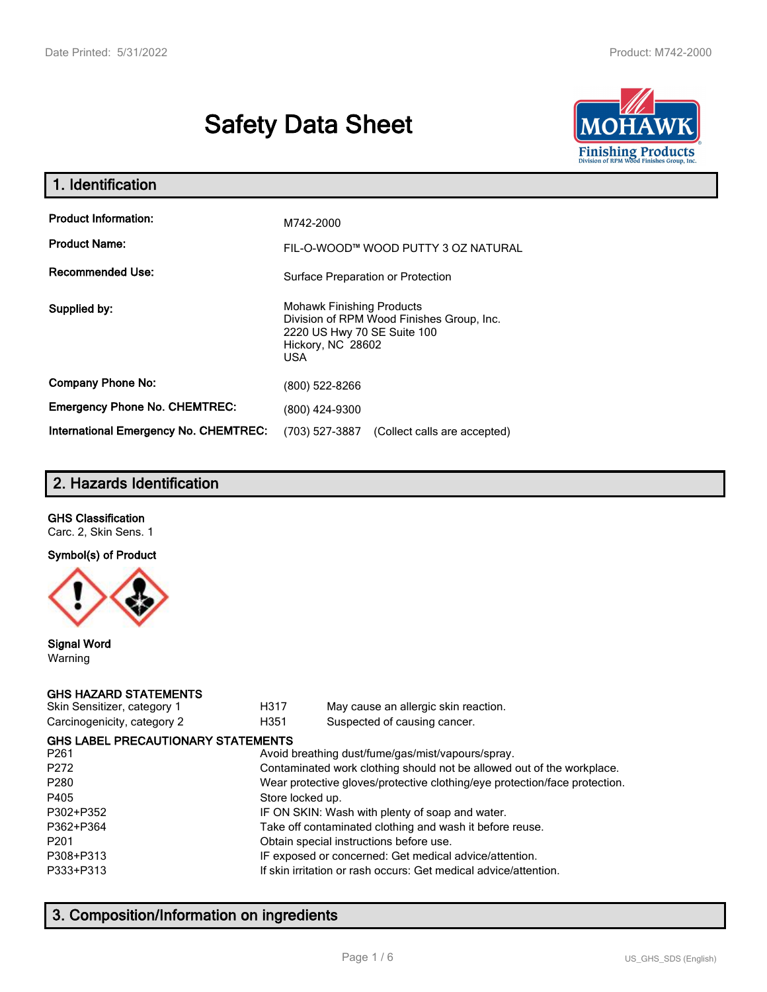# **Safety Data Sheet**



| 1. Identification                     |                                                                                                                                                 |
|---------------------------------------|-------------------------------------------------------------------------------------------------------------------------------------------------|
| <b>Product Information:</b>           | M742-2000                                                                                                                                       |
| <b>Product Name:</b>                  | FIL-O-WOOD™ WOOD PUTTY 3 OZ NATURAL                                                                                                             |
| <b>Recommended Use:</b>               | Surface Preparation or Protection                                                                                                               |
| Supplied by:                          | <b>Mohawk Finishing Products</b><br>Division of RPM Wood Finishes Group, Inc.<br>2220 US Hwy 70 SE Suite 100<br>Hickory, NC 28602<br><b>USA</b> |
| <b>Company Phone No:</b>              | (800) 522-8266                                                                                                                                  |
| <b>Emergency Phone No. CHEMTREC:</b>  | (800) 424-9300                                                                                                                                  |
| International Emergency No. CHEMTREC: | (703) 527-3887<br>(Collect calls are accepted)                                                                                                  |

# **2. Hazards Identification**

#### **GHS Classification**

Carc. 2, Skin Sens. 1

#### **Symbol(s) of Product**



#### **Signal Word** Warning

#### **GHS HAZARD STATEMENTS**

| Skin Sensitizer, category 1 |  |
|-----------------------------|--|
| Carcinogenicity, category 2 |  |

H317 May cause an allergic skin reaction. genicity, category 2 **H351** Suspected of causing cancer.

| <b>GHS LABEL PRECAUTIONARY STATEMENTS</b> |                                                                            |
|-------------------------------------------|----------------------------------------------------------------------------|
| P <sub>261</sub>                          | Avoid breathing dust/fume/gas/mist/vapours/spray.                          |
| P272                                      | Contaminated work clothing should not be allowed out of the workplace.     |
| P280                                      | Wear protective gloves/protective clothing/eye protection/face protection. |
| P405                                      | Store locked up.                                                           |
| P302+P352                                 | IF ON SKIN: Wash with plenty of soap and water.                            |
| P362+P364                                 | Take off contaminated clothing and wash it before reuse.                   |
| P201                                      | Obtain special instructions before use.                                    |
| P308+P313                                 | IF exposed or concerned: Get medical advice/attention.                     |
| P333+P313                                 | If skin irritation or rash occurs: Get medical advice/attention.           |
|                                           |                                                                            |

# **3. Composition/Information on ingredients**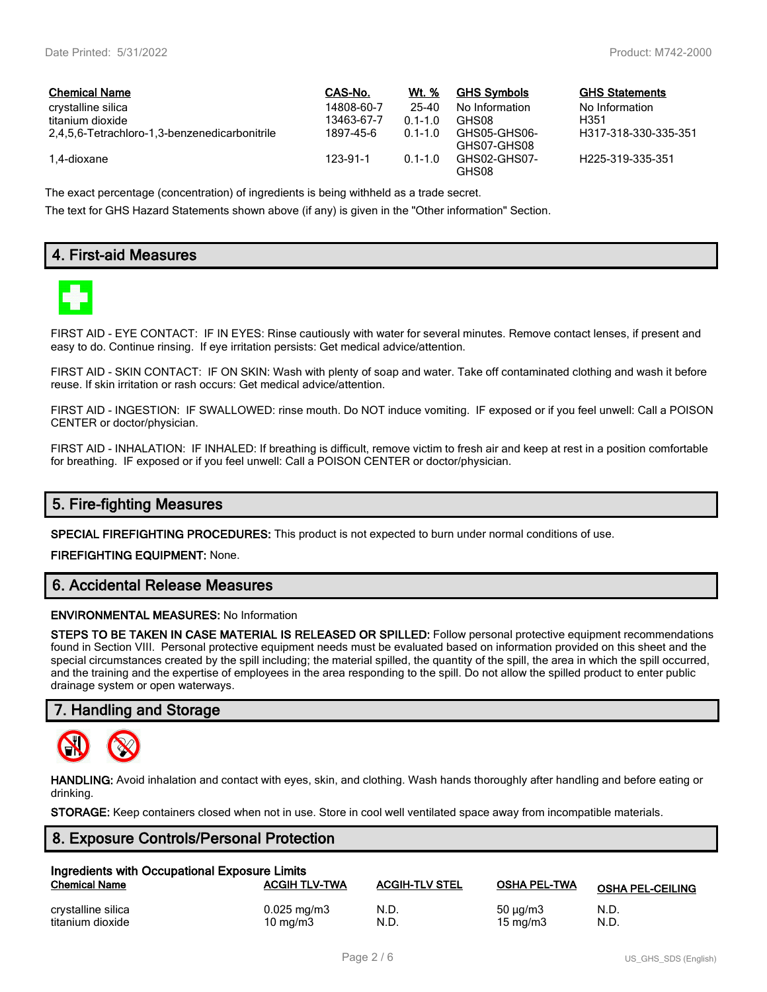| <b>Chemical Name</b>                          | CAS-No.    | Wt. %       | <b>GHS Symbols</b>          | <b>GHS Statements</b> |
|-----------------------------------------------|------------|-------------|-----------------------------|-----------------------|
| crystalline silica                            | 14808-60-7 | 25-40       | No Information              | No Information        |
| titanium dioxide                              | 13463-67-7 | $0.1 - 1.0$ | GHS08                       | H351                  |
| 2,4,5,6-Tetrachloro-1,3-benzenedicarbonitrile | 1897-45-6  | $0.1 - 1.0$ | GHS05-GHS06-<br>GHS07-GHS08 | H317-318-330-335-351  |
| 1.4-dioxane                                   | 123-91-1   | $0.1 - 1.0$ | GHS02-GHS07-<br>GHS08       | H225-319-335-351      |

The exact percentage (concentration) of ingredients is being withheld as a trade secret.

The text for GHS Hazard Statements shown above (if any) is given in the "Other information" Section.

# **4. First-aid Measures**



FIRST AID - EYE CONTACT: IF IN EYES: Rinse cautiously with water for several minutes. Remove contact lenses, if present and easy to do. Continue rinsing. If eye irritation persists: Get medical advice/attention.

FIRST AID - SKIN CONTACT: IF ON SKIN: Wash with plenty of soap and water. Take off contaminated clothing and wash it before reuse. If skin irritation or rash occurs: Get medical advice/attention.

FIRST AID - INGESTION: IF SWALLOWED: rinse mouth. Do NOT induce vomiting. IF exposed or if you feel unwell: Call a POISON CENTER or doctor/physician.

FIRST AID - INHALATION: IF INHALED: If breathing is difficult, remove victim to fresh air and keep at rest in a position comfortable for breathing. IF exposed or if you feel unwell: Call a POISON CENTER or doctor/physician.

## **5. Fire-fighting Measures**

**SPECIAL FIREFIGHTING PROCEDURES:** This product is not expected to burn under normal conditions of use.

**FIREFIGHTING EQUIPMENT:** None.

## **6. Accidental Release Measures**

#### **ENVIRONMENTAL MEASURES:** No Information

**STEPS TO BE TAKEN IN CASE MATERIAL IS RELEASED OR SPILLED:** Follow personal protective equipment recommendations found in Section VIII. Personal protective equipment needs must be evaluated based on information provided on this sheet and the special circumstances created by the spill including; the material spilled, the quantity of the spill, the area in which the spill occurred, and the training and the expertise of employees in the area responding to the spill. Do not allow the spilled product to enter public drainage system or open waterways.

## **7. Handling and Storage**



**HANDLING:** Avoid inhalation and contact with eyes, skin, and clothing. Wash hands thoroughly after handling and before eating or drinking.

**STORAGE:** Keep containers closed when not in use. Store in cool well ventilated space away from incompatible materials.

## **8. Exposure Controls/Personal Protection**

| Ingredients with Occupational Exposure Limits |                                        |                       |                                      |                         |
|-----------------------------------------------|----------------------------------------|-----------------------|--------------------------------------|-------------------------|
| <b>Chemical Name</b>                          | <b>ACGIH TLV-TWA</b>                   | <b>ACGIH-TLV STEL</b> | <b>OSHA PEL-TWA</b>                  | <b>OSHA PEL-CEILING</b> |
| crystalline silica<br>titanium dioxide        | $0.025 \,\mathrm{mg/m}$<br>10 ma/m $3$ | N.D.<br>N.D.          | $50 \mu q/m3$<br>$15 \text{ ma/m}$ 3 | N.D.<br>N.D.            |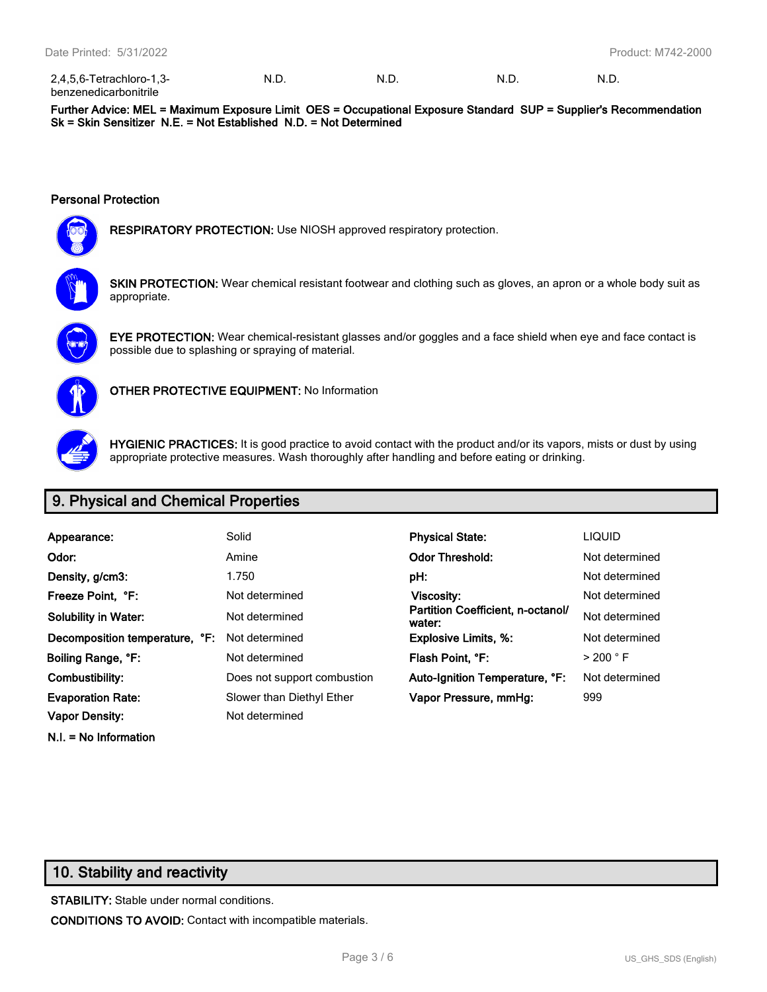| 2,4,5,6-Tetrachloro-1,3-     | - N.L. | N.D | N.D | N.D |
|------------------------------|--------|-----|-----|-----|
| <b>benzenedicarbonitrile</b> |        |     |     |     |

**Further Advice: MEL = Maximum Exposure Limit OES = Occupational Exposure Standard SUP = Supplier's Recommendation Sk = Skin Sensitizer N.E. = Not Established N.D. = Not Determined**

#### **Personal Protection**



**RESPIRATORY PROTECTION:** Use NIOSH approved respiratory protection.



**SKIN PROTECTION:** Wear chemical resistant footwear and clothing such as gloves, an apron or a whole body suit as appropriate.



**EYE PROTECTION:** Wear chemical-resistant glasses and/or goggles and a face shield when eye and face contact is possible due to splashing or spraying of material.



**OTHER PROTECTIVE EQUIPMENT:** No Information



**HYGIENIC PRACTICES:** It is good practice to avoid contact with the product and/or its vapors, mists or dust by using appropriate protective measures. Wash thoroughly after handling and before eating or drinking.

# **9. Physical and Chemical Properties**

| Appearance:                    | Solid                       | <b>Physical State:</b>                      | <b>LIQUID</b>        |
|--------------------------------|-----------------------------|---------------------------------------------|----------------------|
| Odor:                          | Amine                       | <b>Odor Threshold:</b>                      | Not determined       |
| Density, g/cm3:                | 1.750                       | pH:                                         | Not determined       |
| Freeze Point, °F:              | Not determined              | Viscosity:                                  | Not determined       |
| Solubility in Water:           | Not determined              | Partition Coefficient, n-octanol/<br>water: | Not determined       |
| Decomposition temperature, °F: | Not determined              | <b>Explosive Limits, %:</b>                 | Not determined       |
| Boiling Range, °F:             | Not determined              | Flash Point, °F:                            | $>$ 200 $^{\circ}$ F |
| Combustibility:                | Does not support combustion | Auto-Ignition Temperature, °F:              | Not determined       |
| <b>Evaporation Rate:</b>       | Slower than Diethyl Ether   | Vapor Pressure, mmHg:                       | 999                  |
| Vapor Density:                 | Not determined              |                                             |                      |

# **10. Stability and reactivity**

**N.I. = No Information**

**STABILITY:** Stable under normal conditions. **CONDITIONS TO AVOID:** Contact with incompatible materials.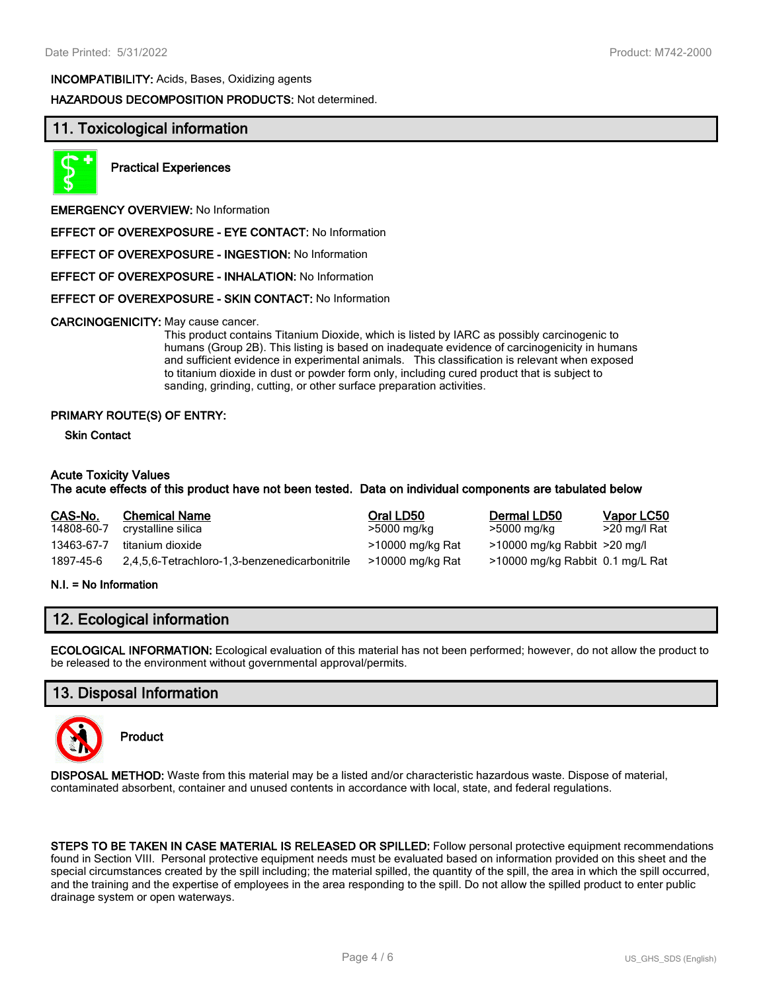**INCOMPATIBILITY:** Acids, Bases, Oxidizing agents

**HAZARDOUS DECOMPOSITION PRODUCTS:** Not determined.

# **11. Toxicological information**



**Practical Experiences**

**EMERGENCY OVERVIEW:** No Information

**EFFECT OF OVEREXPOSURE - EYE CONTACT:** No Information

**EFFECT OF OVEREXPOSURE - INGESTION:** No Information

**EFFECT OF OVEREXPOSURE - INHALATION:** No Information

**EFFECT OF OVEREXPOSURE - SKIN CONTACT:** No Information

#### **CARCINOGENICITY:** May cause cancer.

This product contains Titanium Dioxide, which is listed by IARC as possibly carcinogenic to humans (Group 2B). This listing is based on inadequate evidence of carcinogenicity in humans and sufficient evidence in experimental animals. This classification is relevant when exposed to titanium dioxide in dust or powder form only, including cured product that is subject to sanding, grinding, cutting, or other surface preparation activities.

#### **PRIMARY ROUTE(S) OF ENTRY:**

**Skin Contact**

#### **Acute Toxicity Values**

#### **The acute effects of this product have not been tested. Data on individual components are tabulated below**

| CAS-No.    | <b>Chemical Name</b>                          | Oral LD50        | Dermal LD50                      | <b>Vapor LC50</b> |
|------------|-----------------------------------------------|------------------|----------------------------------|-------------------|
| 14808-60-7 | crystalline silica                            | >5000 mg/kg      | >5000 mg/kg                      | >20 mg/l Rat      |
| 13463-67-7 | titanium dioxide                              | >10000 mg/kg Rat | >10000 mg/kg Rabbit >20 mg/l     |                   |
| 1897-45-6  | 2,4,5,6-Tetrachloro-1,3-benzenedicarbonitrile | >10000 mg/kg Rat | >10000 mg/kg Rabbit 0.1 mg/L Rat |                   |

#### **N.I. = No Information**

# **12. Ecological information**

**ECOLOGICAL INFORMATION:** Ecological evaluation of this material has not been performed; however, do not allow the product to be released to the environment without governmental approval/permits.

# **13. Disposal Information**



**Product**

**DISPOSAL METHOD:** Waste from this material may be a listed and/or characteristic hazardous waste. Dispose of material, contaminated absorbent, container and unused contents in accordance with local, state, and federal regulations.

**STEPS TO BE TAKEN IN CASE MATERIAL IS RELEASED OR SPILLED:** Follow personal protective equipment recommendations found in Section VIII. Personal protective equipment needs must be evaluated based on information provided on this sheet and the special circumstances created by the spill including; the material spilled, the quantity of the spill, the area in which the spill occurred, and the training and the expertise of employees in the area responding to the spill. Do not allow the spilled product to enter public drainage system or open waterways.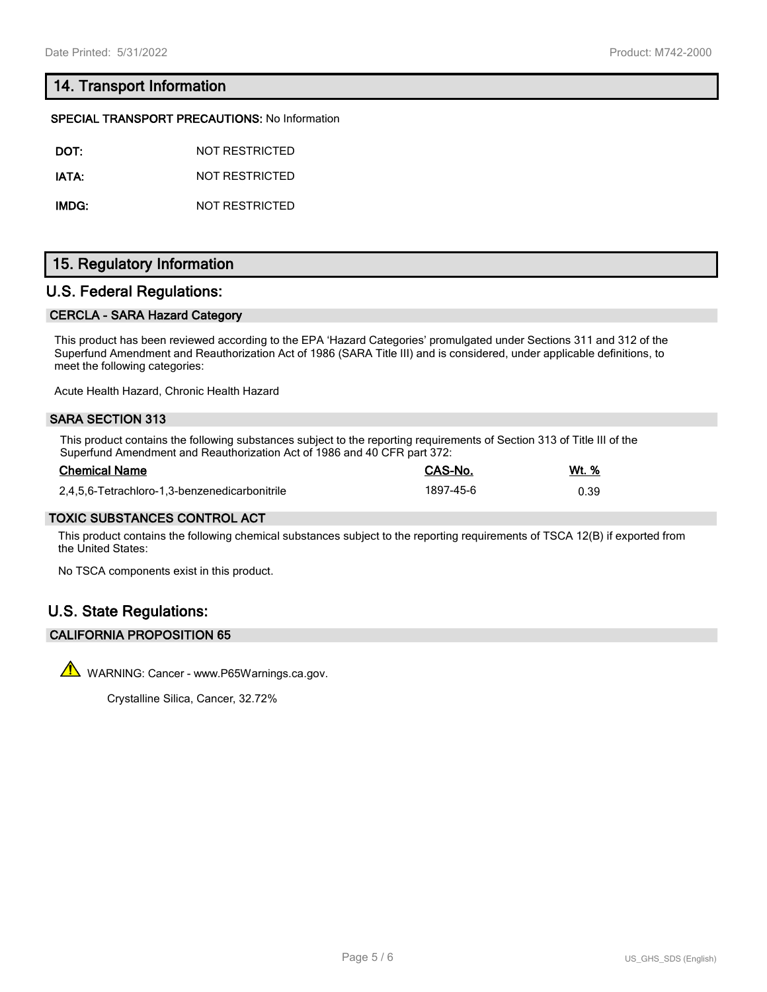# **14. Transport Information**

#### **SPECIAL TRANSPORT PRECAUTIONS:** No Information

| DOT:  | NOT RESTRICTED |
|-------|----------------|
| IATA: | NOT RESTRICTED |

**IMDG:** NOT RESTRICTED

# **15. Regulatory Information**

# **U.S. Federal Regulations:**

#### **CERCLA - SARA Hazard Category**

This product has been reviewed according to the EPA 'Hazard Categories' promulgated under Sections 311 and 312 of the Superfund Amendment and Reauthorization Act of 1986 (SARA Title III) and is considered, under applicable definitions, to meet the following categories:

Acute Health Hazard, Chronic Health Hazard

### **SARA SECTION 313**

This product contains the following substances subject to the reporting requirements of Section 313 of Title III of the Superfund Amendment and Reauthorization Act of 1986 and 40 CFR part 372:

| <b>Chemical Name</b>                          | CAS-No.   | Wt. % |
|-----------------------------------------------|-----------|-------|
| 2,4,5,6-Tetrachloro-1,3-benzenedicarbonitrile | 1897-45-6 | 0.39  |

#### **TOXIC SUBSTANCES CONTROL ACT**

This product contains the following chemical substances subject to the reporting requirements of TSCA 12(B) if exported from the United States:

No TSCA components exist in this product.

# **U.S. State Regulations:**

#### **CALIFORNIA PROPOSITION 65**

 $\sqrt{\phantom{a}}\phantom{a}$  WARNING: Cancer - www.P65Warnings.ca.gov.

Crystalline Silica, Cancer, 32.72%